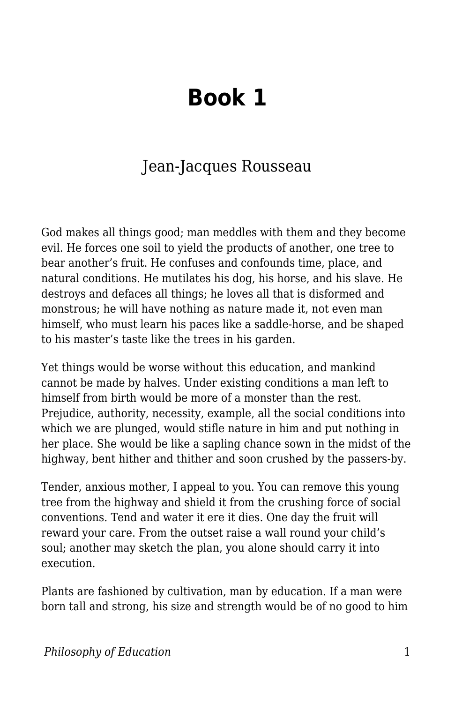## **Book 1**

## Jean-Jacques Rousseau

God makes all things good; man meddles with them and they become evil. He forces one soil to yield the products of another, one tree to bear another's fruit. He confuses and confounds time, place, and natural conditions. He mutilates his dog, his horse, and his slave. He destroys and defaces all things; he loves all that is disformed and monstrous; he will have nothing as nature made it, not even man himself, who must learn his paces like a saddle-horse, and be shaped to his master's taste like the trees in his garden.

Yet things would be worse without this education, and mankind cannot be made by halves. Under existing conditions a man left to himself from birth would be more of a monster than the rest. Prejudice, authority, necessity, example, all the social conditions into which we are plunged, would stifle nature in him and put nothing in her place. She would be like a sapling chance sown in the midst of the highway, bent hither and thither and soon crushed by the passers-by.

Tender, anxious mother, I appeal to you. You can remove this young tree from the highway and shield it from the crushing force of social conventions. Tend and water it ere it dies. One day the fruit will reward your care. From the outset raise a wall round your child's soul; another may sketch the plan, you alone should carry it into execution.

Plants are fashioned by cultivation, man by education. If a man were born tall and strong, his size and strength would be of no good to him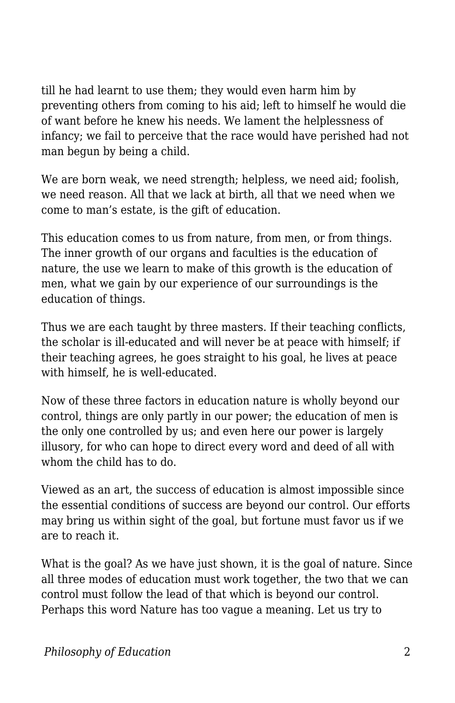till he had learnt to use them; they would even harm him by preventing others from coming to his aid; left to himself he would die of want before he knew his needs. We lament the helplessness of infancy; we fail to perceive that the race would have perished had not man begun by being a child.

We are born weak, we need strength; helpless, we need aid; foolish, we need reason. All that we lack at birth, all that we need when we come to man's estate, is the gift of education.

This education comes to us from nature, from men, or from things. The inner growth of our organs and faculties is the education of nature, the use we learn to make of this growth is the education of men, what we gain by our experience of our surroundings is the education of things.

Thus we are each taught by three masters. If their teaching conflicts, the scholar is ill-educated and will never be at peace with himself; if their teaching agrees, he goes straight to his goal, he lives at peace with himself, he is well-educated.

Now of these three factors in education nature is wholly beyond our control, things are only partly in our power; the education of men is the only one controlled by us; and even here our power is largely illusory, for who can hope to direct every word and deed of all with whom the child has to do.

Viewed as an art, the success of education is almost impossible since the essential conditions of success are beyond our control. Our efforts may bring us within sight of the goal, but fortune must favor us if we are to reach it.

What is the goal? As we have just shown, it is the goal of nature. Since all three modes of education must work together, the two that we can control must follow the lead of that which is beyond our control. Perhaps this word Nature has too vague a meaning. Let us try to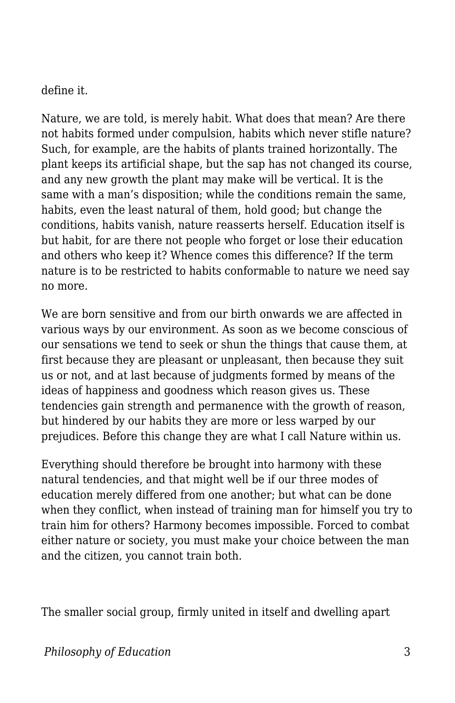define it.

Nature, we are told, is merely habit. What does that mean? Are there not habits formed under compulsion, habits which never stifle nature? Such, for example, are the habits of plants trained horizontally. The plant keeps its artificial shape, but the sap has not changed its course, and any new growth the plant may make will be vertical. It is the same with a man's disposition; while the conditions remain the same, habits, even the least natural of them, hold good; but change the conditions, habits vanish, nature reasserts herself. Education itself is but habit, for are there not people who forget or lose their education and others who keep it? Whence comes this difference? If the term nature is to be restricted to habits conformable to nature we need say no more.

We are born sensitive and from our birth onwards we are affected in various ways by our environment. As soon as we become conscious of our sensations we tend to seek or shun the things that cause them, at first because they are pleasant or unpleasant, then because they suit us or not, and at last because of judgments formed by means of the ideas of happiness and goodness which reason gives us. These tendencies gain strength and permanence with the growth of reason, but hindered by our habits they are more or less warped by our prejudices. Before this change they are what I call Nature within us.

Everything should therefore be brought into harmony with these natural tendencies, and that might well be if our three modes of education merely differed from one another; but what can be done when they conflict, when instead of training man for himself you try to train him for others? Harmony becomes impossible. Forced to combat either nature or society, you must make your choice between the man and the citizen, you cannot train both.

The smaller social group, firmly united in itself and dwelling apart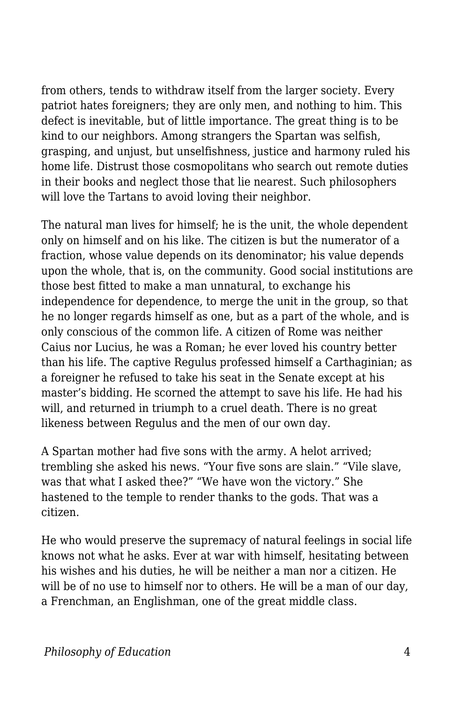from others, tends to withdraw itself from the larger society. Every patriot hates foreigners; they are only men, and nothing to him. This defect is inevitable, but of little importance. The great thing is to be kind to our neighbors. Among strangers the Spartan was selfish, grasping, and unjust, but unselfishness, justice and harmony ruled his home life. Distrust those cosmopolitans who search out remote duties in their books and neglect those that lie nearest. Such philosophers will love the Tartans to avoid loving their neighbor.

The natural man lives for himself; he is the unit, the whole dependent only on himself and on his like. The citizen is but the numerator of a fraction, whose value depends on its denominator; his value depends upon the whole, that is, on the community. Good social institutions are those best fitted to make a man unnatural, to exchange his independence for dependence, to merge the unit in the group, so that he no longer regards himself as one, but as a part of the whole, and is only conscious of the common life. A citizen of Rome was neither Caius nor Lucius, he was a Roman; he ever loved his country better than his life. The captive Regulus professed himself a Carthaginian; as a foreigner he refused to take his seat in the Senate except at his master's bidding. He scorned the attempt to save his life. He had his will, and returned in triumph to a cruel death. There is no great likeness between Regulus and the men of our own day.

A Spartan mother had five sons with the army. A helot arrived; trembling she asked his news. "Your five sons are slain." "Vile slave, was that what I asked thee?" "We have won the victory." She hastened to the temple to render thanks to the gods. That was a citizen.

He who would preserve the supremacy of natural feelings in social life knows not what he asks. Ever at war with himself, hesitating between his wishes and his duties, he will be neither a man nor a citizen. He will be of no use to himself nor to others. He will be a man of our day, a Frenchman, an Englishman, one of the great middle class.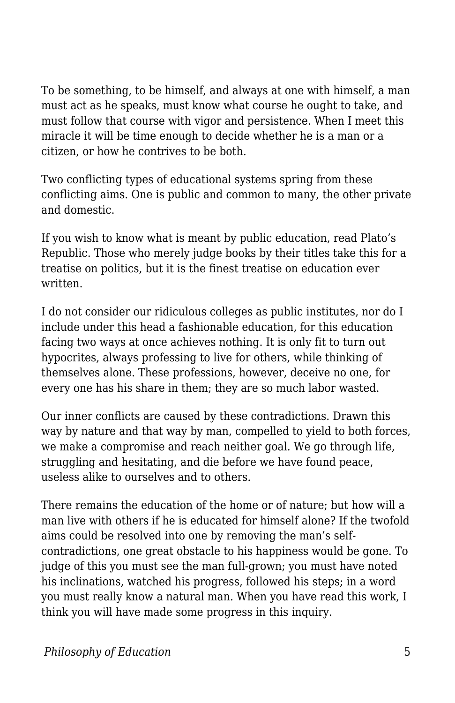To be something, to be himself, and always at one with himself, a man must act as he speaks, must know what course he ought to take, and must follow that course with vigor and persistence. When I meet this miracle it will be time enough to decide whether he is a man or a citizen, or how he contrives to be both.

Two conflicting types of educational systems spring from these conflicting aims. One is public and common to many, the other private and domestic.

If you wish to know what is meant by public education, read Plato's Republic. Those who merely judge books by their titles take this for a treatise on politics, but it is the finest treatise on education ever written.

I do not consider our ridiculous colleges as public institutes, nor do I include under this head a fashionable education, for this education facing two ways at once achieves nothing. It is only fit to turn out hypocrites, always professing to live for others, while thinking of themselves alone. These professions, however, deceive no one, for every one has his share in them; they are so much labor wasted.

Our inner conflicts are caused by these contradictions. Drawn this way by nature and that way by man, compelled to yield to both forces, we make a compromise and reach neither goal. We go through life, struggling and hesitating, and die before we have found peace, useless alike to ourselves and to others.

There remains the education of the home or of nature; but how will a man live with others if he is educated for himself alone? If the twofold aims could be resolved into one by removing the man's selfcontradictions, one great obstacle to his happiness would be gone. To judge of this you must see the man full-grown; you must have noted his inclinations, watched his progress, followed his steps; in a word you must really know a natural man. When you have read this work, I think you will have made some progress in this inquiry.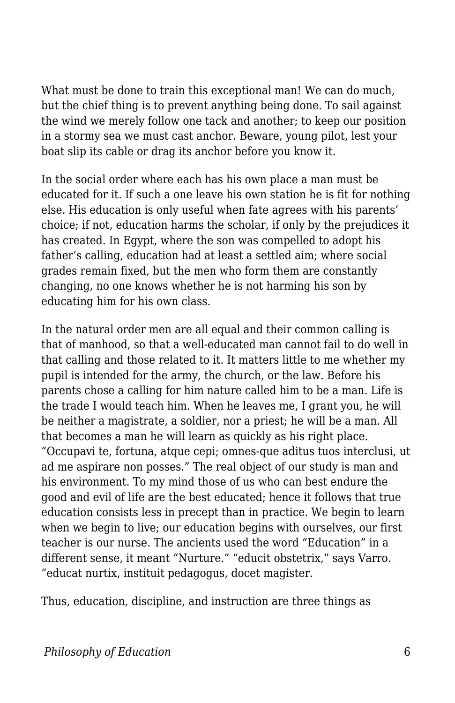What must be done to train this exceptional man! We can do much, but the chief thing is to prevent anything being done. To sail against the wind we merely follow one tack and another; to keep our position in a stormy sea we must cast anchor. Beware, young pilot, lest your boat slip its cable or drag its anchor before you know it.

In the social order where each has his own place a man must be educated for it. If such a one leave his own station he is fit for nothing else. His education is only useful when fate agrees with his parents' choice; if not, education harms the scholar, if only by the prejudices it has created. In Egypt, where the son was compelled to adopt his father's calling, education had at least a settled aim; where social grades remain fixed, but the men who form them are constantly changing, no one knows whether he is not harming his son by educating him for his own class.

In the natural order men are all equal and their common calling is that of manhood, so that a well-educated man cannot fail to do well in that calling and those related to it. It matters little to me whether my pupil is intended for the army, the church, or the law. Before his parents chose a calling for him nature called him to be a man. Life is the trade I would teach him. When he leaves me, I grant you, he will be neither a magistrate, a soldier, nor a priest; he will be a man. All that becomes a man he will learn as quickly as his right place. "Occupavi te, fortuna, atque cepi; omnes-que aditus tuos interclusi, ut ad me aspirare non posses." The real object of our study is man and his environment. To my mind those of us who can best endure the good and evil of life are the best educated; hence it follows that true education consists less in precept than in practice. We begin to learn when we begin to live; our education begins with ourselves, our first teacher is our nurse. The ancients used the word "Education" in a different sense, it meant "Nurture." "educit obstetrix," says Varro. "educat nurtix, instituit pedagogus, docet magister.

Thus, education, discipline, and instruction are three things as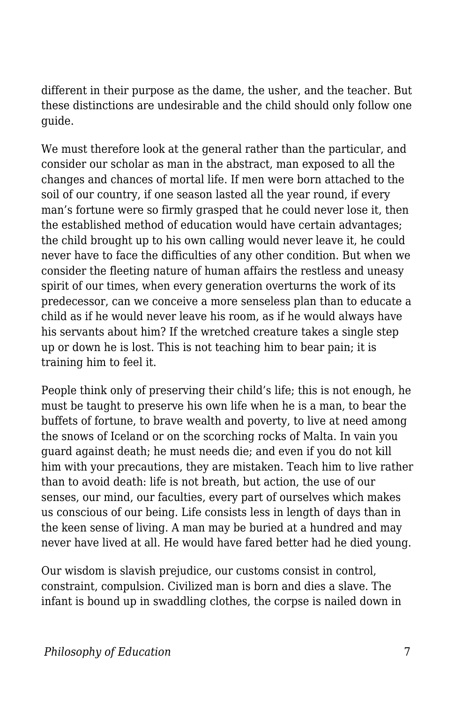different in their purpose as the dame, the usher, and the teacher. But these distinctions are undesirable and the child should only follow one guide.

We must therefore look at the general rather than the particular, and consider our scholar as man in the abstract, man exposed to all the changes and chances of mortal life. If men were born attached to the soil of our country, if one season lasted all the year round, if every man's fortune were so firmly grasped that he could never lose it, then the established method of education would have certain advantages; the child brought up to his own calling would never leave it, he could never have to face the difficulties of any other condition. But when we consider the fleeting nature of human affairs the restless and uneasy spirit of our times, when every generation overturns the work of its predecessor, can we conceive a more senseless plan than to educate a child as if he would never leave his room, as if he would always have his servants about him? If the wretched creature takes a single step up or down he is lost. This is not teaching him to bear pain; it is training him to feel it.

People think only of preserving their child's life; this is not enough, he must be taught to preserve his own life when he is a man, to bear the buffets of fortune, to brave wealth and poverty, to live at need among the snows of Iceland or on the scorching rocks of Malta. In vain you guard against death; he must needs die; and even if you do not kill him with your precautions, they are mistaken. Teach him to live rather than to avoid death: life is not breath, but action, the use of our senses, our mind, our faculties, every part of ourselves which makes us conscious of our being. Life consists less in length of days than in the keen sense of living. A man may be buried at a hundred and may never have lived at all. He would have fared better had he died young.

Our wisdom is slavish prejudice, our customs consist in control, constraint, compulsion. Civilized man is born and dies a slave. The infant is bound up in swaddling clothes, the corpse is nailed down in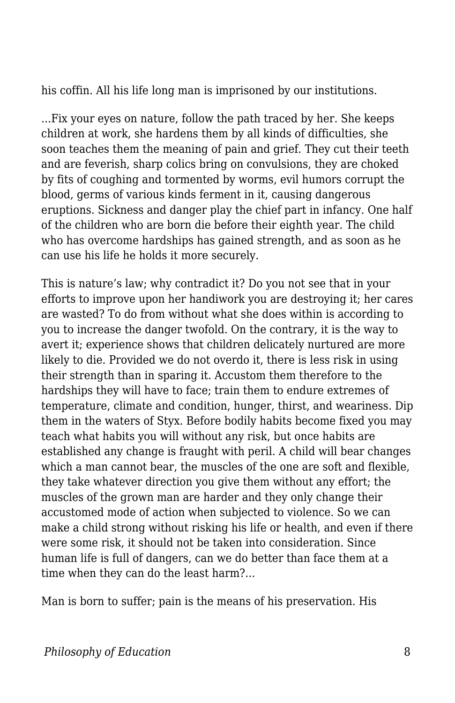his coffin. All his life long man is imprisoned by our institutions.

...Fix your eyes on nature, follow the path traced by her. She keeps children at work, she hardens them by all kinds of difficulties, she soon teaches them the meaning of pain and grief. They cut their teeth and are feverish, sharp colics bring on convulsions, they are choked by fits of coughing and tormented by worms, evil humors corrupt the blood, germs of various kinds ferment in it, causing dangerous eruptions. Sickness and danger play the chief part in infancy. One half of the children who are born die before their eighth year. The child who has overcome hardships has gained strength, and as soon as he can use his life he holds it more securely.

This is nature's law; why contradict it? Do you not see that in your efforts to improve upon her handiwork you are destroying it; her cares are wasted? To do from without what she does within is according to you to increase the danger twofold. On the contrary, it is the way to avert it; experience shows that children delicately nurtured are more likely to die. Provided we do not overdo it, there is less risk in using their strength than in sparing it. Accustom them therefore to the hardships they will have to face; train them to endure extremes of temperature, climate and condition, hunger, thirst, and weariness. Dip them in the waters of Styx. Before bodily habits become fixed you may teach what habits you will without any risk, but once habits are established any change is fraught with peril. A child will bear changes which a man cannot bear, the muscles of the one are soft and flexible, they take whatever direction you give them without any effort; the muscles of the grown man are harder and they only change their accustomed mode of action when subjected to violence. So we can make a child strong without risking his life or health, and even if there were some risk, it should not be taken into consideration. Since human life is full of dangers, can we do better than face them at a time when they can do the least harm?...

Man is born to suffer; pain is the means of his preservation. His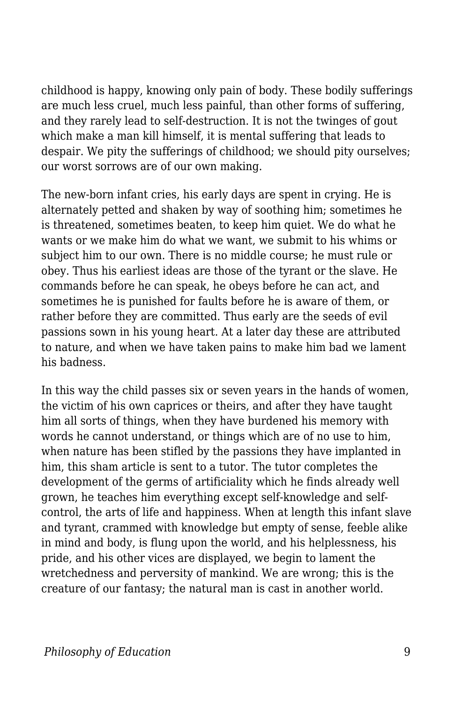childhood is happy, knowing only pain of body. These bodily sufferings are much less cruel, much less painful, than other forms of suffering, and they rarely lead to self-destruction. It is not the twinges of gout which make a man kill himself, it is mental suffering that leads to despair. We pity the sufferings of childhood; we should pity ourselves; our worst sorrows are of our own making.

The new-born infant cries, his early days are spent in crying. He is alternately petted and shaken by way of soothing him; sometimes he is threatened, sometimes beaten, to keep him quiet. We do what he wants or we make him do what we want, we submit to his whims or subject him to our own. There is no middle course; he must rule or obey. Thus his earliest ideas are those of the tyrant or the slave. He commands before he can speak, he obeys before he can act, and sometimes he is punished for faults before he is aware of them, or rather before they are committed. Thus early are the seeds of evil passions sown in his young heart. At a later day these are attributed to nature, and when we have taken pains to make him bad we lament his badness.

In this way the child passes six or seven years in the hands of women. the victim of his own caprices or theirs, and after they have taught him all sorts of things, when they have burdened his memory with words he cannot understand, or things which are of no use to him, when nature has been stifled by the passions they have implanted in him, this sham article is sent to a tutor. The tutor completes the development of the germs of artificiality which he finds already well grown, he teaches him everything except self-knowledge and selfcontrol, the arts of life and happiness. When at length this infant slave and tyrant, crammed with knowledge but empty of sense, feeble alike in mind and body, is flung upon the world, and his helplessness, his pride, and his other vices are displayed, we begin to lament the wretchedness and perversity of mankind. We are wrong; this is the creature of our fantasy; the natural man is cast in another world.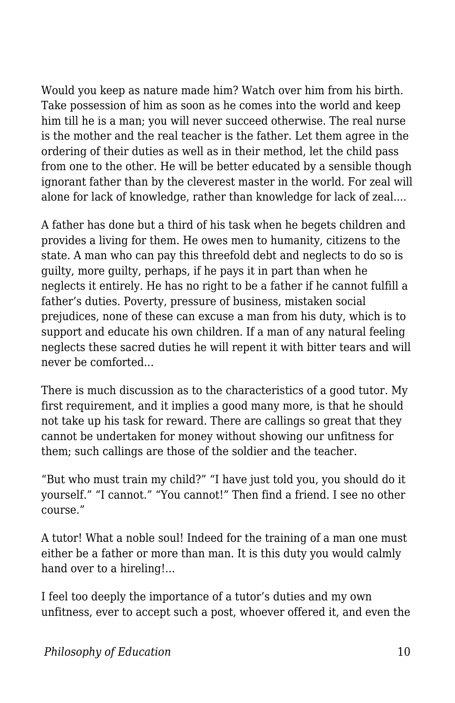Would you keep as nature made him? Watch over him from his birth. Take possession of him as soon as he comes into the world and keep him till he is a man; you will never succeed otherwise. The real nurse is the mother and the real teacher is the father. Let them agree in the ordering of their duties as well as in their method, let the child pass from one to the other. He will be better educated by a sensible though ignorant father than by the cleverest master in the world. For zeal will alone for lack of knowledge, rather than knowledge for lack of zeal....

A father has done but a third of his task when he begets children and provides a living for them. He owes men to humanity, citizens to the state. A man who can pay this threefold debt and neglects to do so is guilty, more guilty, perhaps, if he pays it in part than when he neglects it entirely. He has no right to be a father if he cannot fulfill a father's duties. Poverty, pressure of business, mistaken social prejudices, none of these can excuse a man from his duty, which is to support and educate his own children. If a man of any natural feeling neglects these sacred duties he will repent it with bitter tears and will never be comforted...

There is much discussion as to the characteristics of a good tutor. My first requirement, and it implies a good many more, is that he should not take up his task for reward. There are callings so great that they cannot be undertaken for money without showing our unfitness for them; such callings are those of the soldier and the teacher.

"But who must train my child?" "I have just told you, you should do it yourself." "I cannot." "You cannot!" Then find a friend. I see no other course."

A tutor! What a noble soul! Indeed for the training of a man one must either be a father or more than man. It is this duty you would calmly hand over to a hireling!...

I feel too deeply the importance of a tutor's duties and my own unfitness, ever to accept such a post, whoever offered it, and even the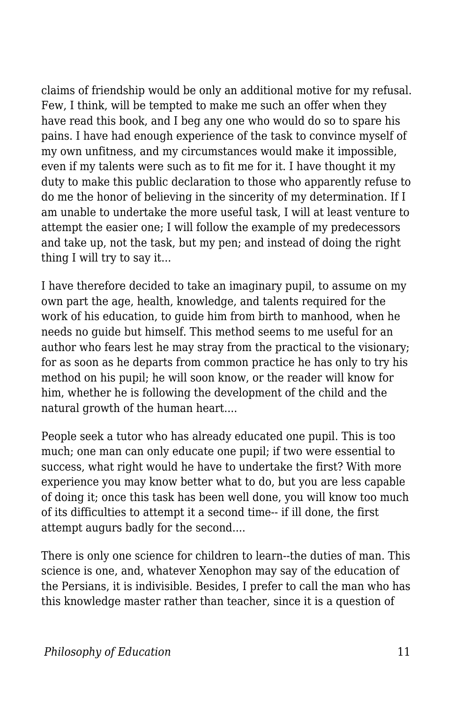claims of friendship would be only an additional motive for my refusal. Few, I think, will be tempted to make me such an offer when they have read this book, and I beg any one who would do so to spare his pains. I have had enough experience of the task to convince myself of my own unfitness, and my circumstances would make it impossible, even if my talents were such as to fit me for it. I have thought it my duty to make this public declaration to those who apparently refuse to do me the honor of believing in the sincerity of my determination. If I am unable to undertake the more useful task, I will at least venture to attempt the easier one; I will follow the example of my predecessors and take up, not the task, but my pen; and instead of doing the right thing I will try to say it...

I have therefore decided to take an imaginary pupil, to assume on my own part the age, health, knowledge, and talents required for the work of his education, to guide him from birth to manhood, when he needs no guide but himself. This method seems to me useful for an author who fears lest he may stray from the practical to the visionary; for as soon as he departs from common practice he has only to try his method on his pupil; he will soon know, or the reader will know for him, whether he is following the development of the child and the natural growth of the human heart....

People seek a tutor who has already educated one pupil. This is too much; one man can only educate one pupil; if two were essential to success, what right would he have to undertake the first? With more experience you may know better what to do, but you are less capable of doing it; once this task has been well done, you will know too much of its difficulties to attempt it a second time-- if ill done, the first attempt augurs badly for the second....

There is only one science for children to learn--the duties of man. This science is one, and, whatever Xenophon may say of the education of the Persians, it is indivisible. Besides, I prefer to call the man who has this knowledge master rather than teacher, since it is a question of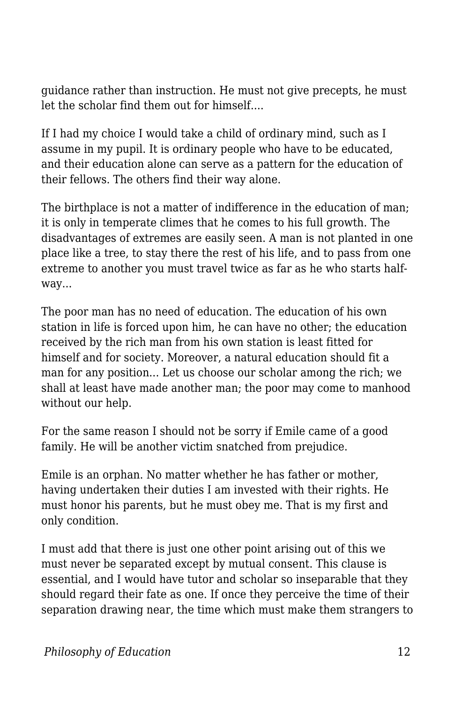guidance rather than instruction. He must not give precepts, he must let the scholar find them out for himself....

If I had my choice I would take a child of ordinary mind, such as I assume in my pupil. It is ordinary people who have to be educated, and their education alone can serve as a pattern for the education of their fellows. The others find their way alone.

The birthplace is not a matter of indifference in the education of man; it is only in temperate climes that he comes to his full growth. The disadvantages of extremes are easily seen. A man is not planted in one place like a tree, to stay there the rest of his life, and to pass from one extreme to another you must travel twice as far as he who starts halfway...

The poor man has no need of education. The education of his own station in life is forced upon him, he can have no other; the education received by the rich man from his own station is least fitted for himself and for society. Moreover, a natural education should fit a man for any position... Let us choose our scholar among the rich; we shall at least have made another man; the poor may come to manhood without our help.

For the same reason I should not be sorry if Emile came of a good family. He will be another victim snatched from prejudice.

Emile is an orphan. No matter whether he has father or mother, having undertaken their duties I am invested with their rights. He must honor his parents, but he must obey me. That is my first and only condition.

I must add that there is just one other point arising out of this we must never be separated except by mutual consent. This clause is essential, and I would have tutor and scholar so inseparable that they should regard their fate as one. If once they perceive the time of their separation drawing near, the time which must make them strangers to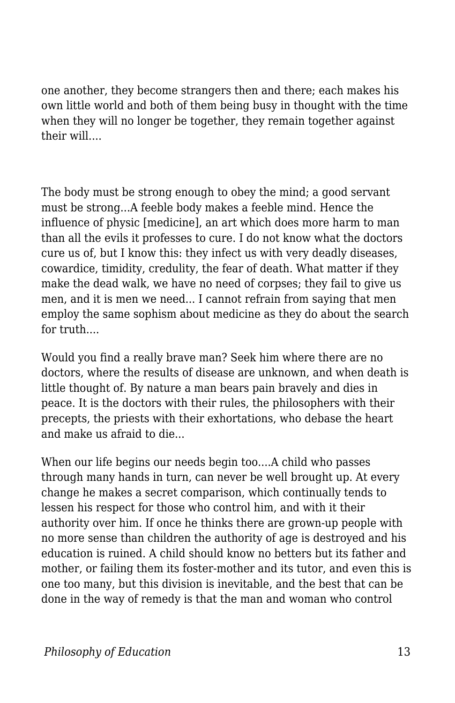one another, they become strangers then and there; each makes his own little world and both of them being busy in thought with the time when they will no longer be together, they remain together against their will....

The body must be strong enough to obey the mind; a good servant must be strong...A feeble body makes a feeble mind. Hence the influence of physic [medicine], an art which does more harm to man than all the evils it professes to cure. I do not know what the doctors cure us of, but I know this: they infect us with very deadly diseases, cowardice, timidity, credulity, the fear of death. What matter if they make the dead walk, we have no need of corpses; they fail to give us men, and it is men we need... I cannot refrain from saying that men employ the same sophism about medicine as they do about the search for truth....

Would you find a really brave man? Seek him where there are no doctors, where the results of disease are unknown, and when death is little thought of. By nature a man bears pain bravely and dies in peace. It is the doctors with their rules, the philosophers with their precepts, the priests with their exhortations, who debase the heart and make us afraid to die...

When our life begins our needs begin too....A child who passes through many hands in turn, can never be well brought up. At every change he makes a secret comparison, which continually tends to lessen his respect for those who control him, and with it their authority over him. If once he thinks there are grown-up people with no more sense than children the authority of age is destroyed and his education is ruined. A child should know no betters but its father and mother, or failing them its foster-mother and its tutor, and even this is one too many, but this division is inevitable, and the best that can be done in the way of remedy is that the man and woman who control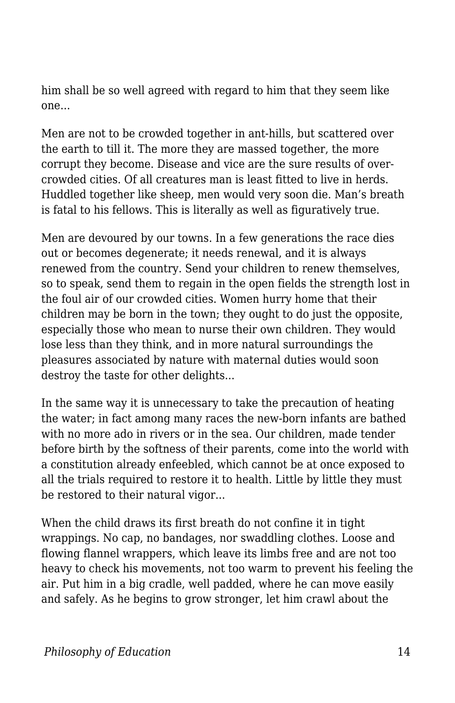him shall be so well agreed with regard to him that they seem like one...

Men are not to be crowded together in ant-hills, but scattered over the earth to till it. The more they are massed together, the more corrupt they become. Disease and vice are the sure results of overcrowded cities. Of all creatures man is least fitted to live in herds. Huddled together like sheep, men would very soon die. Man's breath is fatal to his fellows. This is literally as well as figuratively true.

Men are devoured by our towns. In a few generations the race dies out or becomes degenerate; it needs renewal, and it is always renewed from the country. Send your children to renew themselves, so to speak, send them to regain in the open fields the strength lost in the foul air of our crowded cities. Women hurry home that their children may be born in the town; they ought to do just the opposite, especially those who mean to nurse their own children. They would lose less than they think, and in more natural surroundings the pleasures associated by nature with maternal duties would soon destroy the taste for other delights...

In the same way it is unnecessary to take the precaution of heating the water; in fact among many races the new-born infants are bathed with no more ado in rivers or in the sea. Our children, made tender before birth by the softness of their parents, come into the world with a constitution already enfeebled, which cannot be at once exposed to all the trials required to restore it to health. Little by little they must be restored to their natural vigor...

When the child draws its first breath do not confine it in tight wrappings. No cap, no bandages, nor swaddling clothes. Loose and flowing flannel wrappers, which leave its limbs free and are not too heavy to check his movements, not too warm to prevent his feeling the air. Put him in a big cradle, well padded, where he can move easily and safely. As he begins to grow stronger, let him crawl about the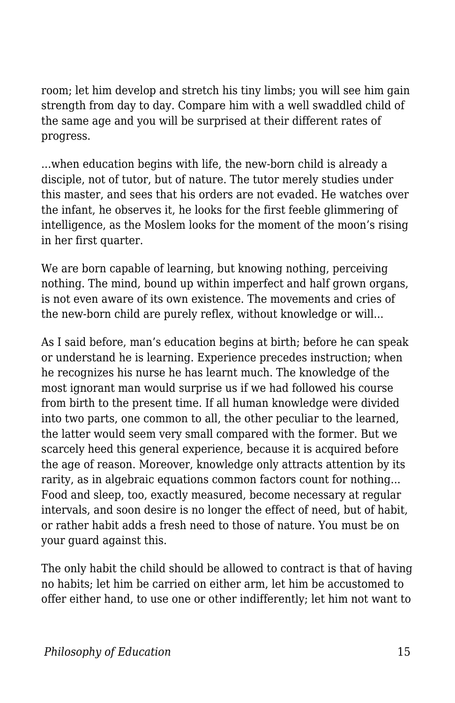room; let him develop and stretch his tiny limbs; you will see him gain strength from day to day. Compare him with a well swaddled child of the same age and you will be surprised at their different rates of progress.

...when education begins with life, the new-born child is already a disciple, not of tutor, but of nature. The tutor merely studies under this master, and sees that his orders are not evaded. He watches over the infant, he observes it, he looks for the first feeble glimmering of intelligence, as the Moslem looks for the moment of the moon's rising in her first quarter.

We are born capable of learning, but knowing nothing, perceiving nothing. The mind, bound up within imperfect and half grown organs, is not even aware of its own existence. The movements and cries of the new-born child are purely reflex, without knowledge or will...

As I said before, man's education begins at birth; before he can speak or understand he is learning. Experience precedes instruction; when he recognizes his nurse he has learnt much. The knowledge of the most ignorant man would surprise us if we had followed his course from birth to the present time. If all human knowledge were divided into two parts, one common to all, the other peculiar to the learned, the latter would seem very small compared with the former. But we scarcely heed this general experience, because it is acquired before the age of reason. Moreover, knowledge only attracts attention by its rarity, as in algebraic equations common factors count for nothing... Food and sleep, too, exactly measured, become necessary at regular intervals, and soon desire is no longer the effect of need, but of habit, or rather habit adds a fresh need to those of nature. You must be on your guard against this.

The only habit the child should be allowed to contract is that of having no habits; let him be carried on either arm, let him be accustomed to offer either hand, to use one or other indifferently; let him not want to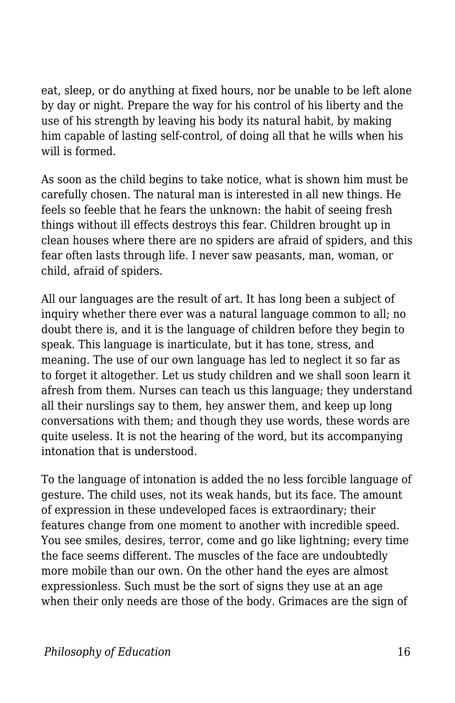eat, sleep, or do anything at fixed hours, nor be unable to be left alone by day or night. Prepare the way for his control of his liberty and the use of his strength by leaving his body its natural habit, by making him capable of lasting self-control, of doing all that he wills when his will is formed.

As soon as the child begins to take notice, what is shown him must be carefully chosen. The natural man is interested in all new things. He feels so feeble that he fears the unknown: the habit of seeing fresh things without ill effects destroys this fear. Children brought up in clean houses where there are no spiders are afraid of spiders, and this fear often lasts through life. I never saw peasants, man, woman, or child, afraid of spiders.

All our languages are the result of art. It has long been a subject of inquiry whether there ever was a natural language common to all; no doubt there is, and it is the language of children before they begin to speak. This language is inarticulate, but it has tone, stress, and meaning. The use of our own language has led to neglect it so far as to forget it altogether. Let us study children and we shall soon learn it afresh from them. Nurses can teach us this language; they understand all their nurslings say to them, hey answer them, and keep up long conversations with them; and though they use words, these words are quite useless. It is not the hearing of the word, but its accompanying intonation that is understood.

To the language of intonation is added the no less forcible language of gesture. The child uses, not its weak hands, but its face. The amount of expression in these undeveloped faces is extraordinary; their features change from one moment to another with incredible speed. You see smiles, desires, terror, come and go like lightning; every time the face seems different. The muscles of the face are undoubtedly more mobile than our own. On the other hand the eyes are almost expressionless. Such must be the sort of signs they use at an age when their only needs are those of the body. Grimaces are the sign of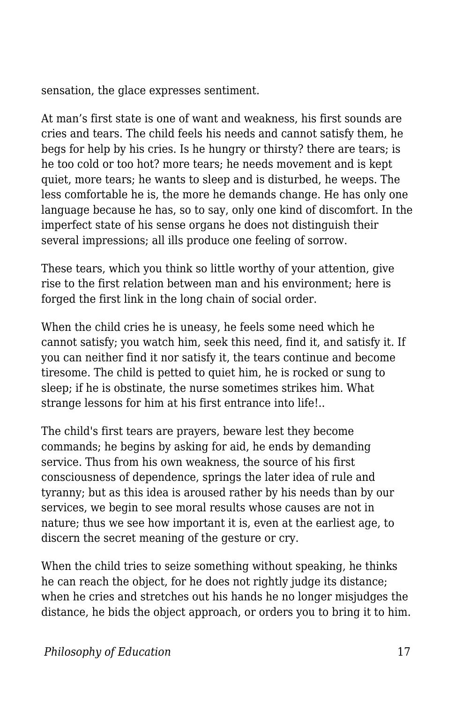sensation, the glace expresses sentiment.

At man's first state is one of want and weakness, his first sounds are cries and tears. The child feels his needs and cannot satisfy them, he begs for help by his cries. Is he hungry or thirsty? there are tears; is he too cold or too hot? more tears; he needs movement and is kept quiet, more tears; he wants to sleep and is disturbed, he weeps. The less comfortable he is, the more he demands change. He has only one language because he has, so to say, only one kind of discomfort. In the imperfect state of his sense organs he does not distinguish their several impressions; all ills produce one feeling of sorrow.

These tears, which you think so little worthy of your attention, give rise to the first relation between man and his environment; here is forged the first link in the long chain of social order.

When the child cries he is uneasy, he feels some need which he cannot satisfy; you watch him, seek this need, find it, and satisfy it. If you can neither find it nor satisfy it, the tears continue and become tiresome. The child is petted to quiet him, he is rocked or sung to sleep; if he is obstinate, the nurse sometimes strikes him. What strange lessons for him at his first entrance into life!..

The child's first tears are prayers, beware lest they become commands; he begins by asking for aid, he ends by demanding service. Thus from his own weakness, the source of his first consciousness of dependence, springs the later idea of rule and tyranny; but as this idea is aroused rather by his needs than by our services, we begin to see moral results whose causes are not in nature; thus we see how important it is, even at the earliest age, to discern the secret meaning of the gesture or cry.

When the child tries to seize something without speaking, he thinks he can reach the object, for he does not rightly judge its distance; when he cries and stretches out his hands he no longer misjudges the distance, he bids the object approach, or orders you to bring it to him.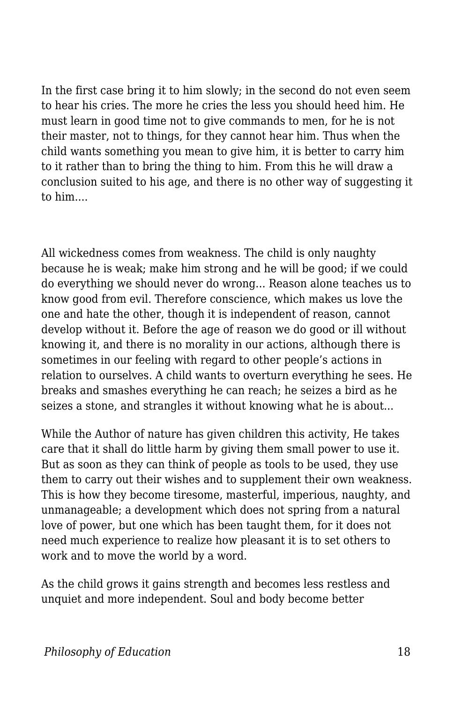In the first case bring it to him slowly; in the second do not even seem to hear his cries. The more he cries the less you should heed him. He must learn in good time not to give commands to men, for he is not their master, not to things, for they cannot hear him. Thus when the child wants something you mean to give him, it is better to carry him to it rather than to bring the thing to him. From this he will draw a conclusion suited to his age, and there is no other way of suggesting it to him....

All wickedness comes from weakness. The child is only naughty because he is weak; make him strong and he will be good; if we could do everything we should never do wrong... Reason alone teaches us to know good from evil. Therefore conscience, which makes us love the one and hate the other, though it is independent of reason, cannot develop without it. Before the age of reason we do good or ill without knowing it, and there is no morality in our actions, although there is sometimes in our feeling with regard to other people's actions in relation to ourselves. A child wants to overturn everything he sees. He breaks and smashes everything he can reach; he seizes a bird as he seizes a stone, and strangles it without knowing what he is about...

While the Author of nature has given children this activity, He takes care that it shall do little harm by giving them small power to use it. But as soon as they can think of people as tools to be used, they use them to carry out their wishes and to supplement their own weakness. This is how they become tiresome, masterful, imperious, naughty, and unmanageable; a development which does not spring from a natural love of power, but one which has been taught them, for it does not need much experience to realize how pleasant it is to set others to work and to move the world by a word.

As the child grows it gains strength and becomes less restless and unquiet and more independent. Soul and body become better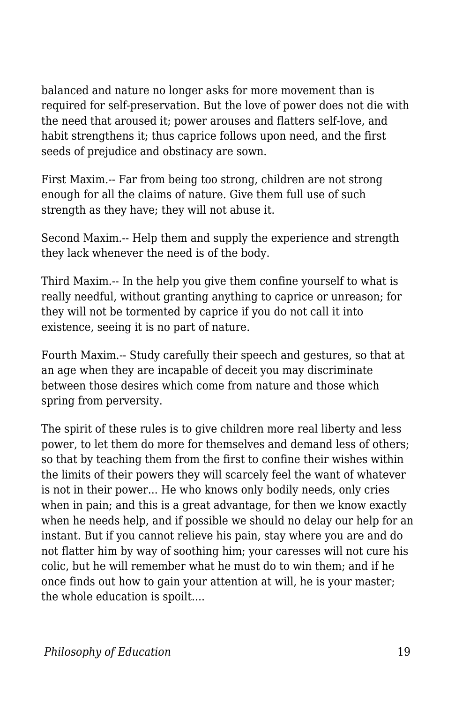balanced and nature no longer asks for more movement than is required for self-preservation. But the love of power does not die with the need that aroused it; power arouses and flatters self-love, and habit strengthens it; thus caprice follows upon need, and the first seeds of prejudice and obstinacy are sown.

First Maxim.-- Far from being too strong, children are not strong enough for all the claims of nature. Give them full use of such strength as they have; they will not abuse it.

Second Maxim.-- Help them and supply the experience and strength they lack whenever the need is of the body.

Third Maxim.-- In the help you give them confine yourself to what is really needful, without granting anything to caprice or unreason; for they will not be tormented by caprice if you do not call it into existence, seeing it is no part of nature.

Fourth Maxim.-- Study carefully their speech and gestures, so that at an age when they are incapable of deceit you may discriminate between those desires which come from nature and those which spring from perversity.

The spirit of these rules is to give children more real liberty and less power, to let them do more for themselves and demand less of others; so that by teaching them from the first to confine their wishes within the limits of their powers they will scarcely feel the want of whatever is not in their power... He who knows only bodily needs, only cries when in pain; and this is a great advantage, for then we know exactly when he needs help, and if possible we should no delay our help for an instant. But if you cannot relieve his pain, stay where you are and do not flatter him by way of soothing him; your caresses will not cure his colic, but he will remember what he must do to win them; and if he once finds out how to gain your attention at will, he is your master; the whole education is spoilt....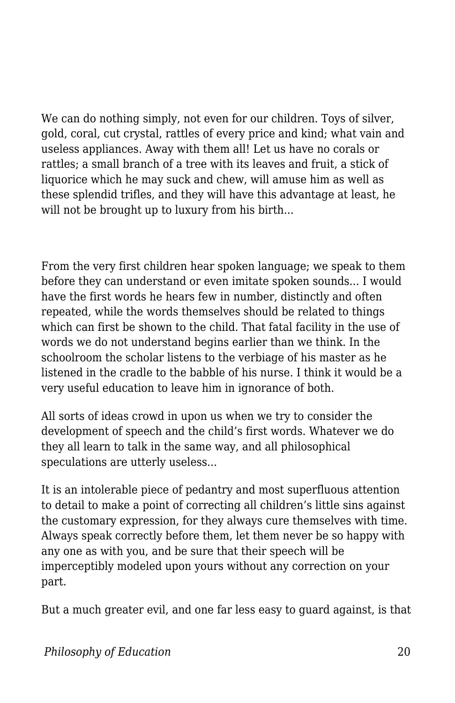We can do nothing simply, not even for our children. Toys of silver, gold, coral, cut crystal, rattles of every price and kind; what vain and useless appliances. Away with them all! Let us have no corals or rattles; a small branch of a tree with its leaves and fruit, a stick of liquorice which he may suck and chew, will amuse him as well as these splendid trifles, and they will have this advantage at least, he will not be brought up to luxury from his birth...

From the very first children hear spoken language; we speak to them before they can understand or even imitate spoken sounds... I would have the first words he hears few in number, distinctly and often repeated, while the words themselves should be related to things which can first be shown to the child. That fatal facility in the use of words we do not understand begins earlier than we think. In the schoolroom the scholar listens to the verbiage of his master as he listened in the cradle to the babble of his nurse. I think it would be a very useful education to leave him in ignorance of both.

All sorts of ideas crowd in upon us when we try to consider the development of speech and the child's first words. Whatever we do they all learn to talk in the same way, and all philosophical speculations are utterly useless...

It is an intolerable piece of pedantry and most superfluous attention to detail to make a point of correcting all children's little sins against the customary expression, for they always cure themselves with time. Always speak correctly before them, let them never be so happy with any one as with you, and be sure that their speech will be imperceptibly modeled upon yours without any correction on your part.

But a much greater evil, and one far less easy to guard against, is that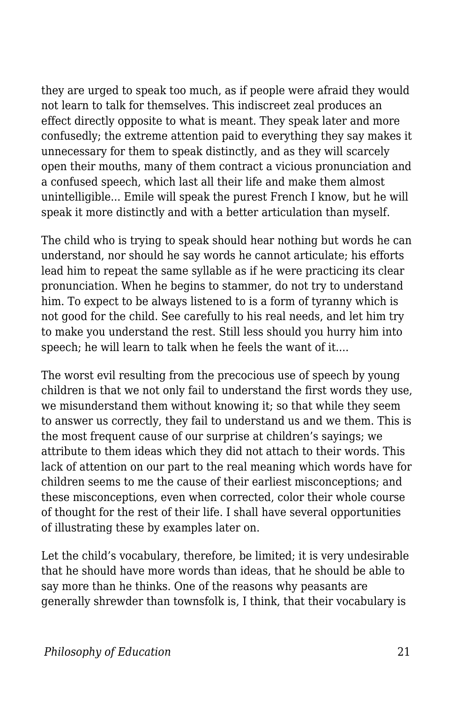they are urged to speak too much, as if people were afraid they would not learn to talk for themselves. This indiscreet zeal produces an effect directly opposite to what is meant. They speak later and more confusedly; the extreme attention paid to everything they say makes it unnecessary for them to speak distinctly, and as they will scarcely open their mouths, many of them contract a vicious pronunciation and a confused speech, which last all their life and make them almost unintelligible... Emile will speak the purest French I know, but he will speak it more distinctly and with a better articulation than myself.

The child who is trying to speak should hear nothing but words he can understand, nor should he say words he cannot articulate; his efforts lead him to repeat the same syllable as if he were practicing its clear pronunciation. When he begins to stammer, do not try to understand him. To expect to be always listened to is a form of tyranny which is not good for the child. See carefully to his real needs, and let him try to make you understand the rest. Still less should you hurry him into speech; he will learn to talk when he feels the want of it....

The worst evil resulting from the precocious use of speech by young children is that we not only fail to understand the first words they use, we misunderstand them without knowing it; so that while they seem to answer us correctly, they fail to understand us and we them. This is the most frequent cause of our surprise at children's sayings; we attribute to them ideas which they did not attach to their words. This lack of attention on our part to the real meaning which words have for children seems to me the cause of their earliest misconceptions; and these misconceptions, even when corrected, color their whole course of thought for the rest of their life. I shall have several opportunities of illustrating these by examples later on.

Let the child's vocabulary, therefore, be limited; it is very undesirable that he should have more words than ideas, that he should be able to say more than he thinks. One of the reasons why peasants are generally shrewder than townsfolk is, I think, that their vocabulary is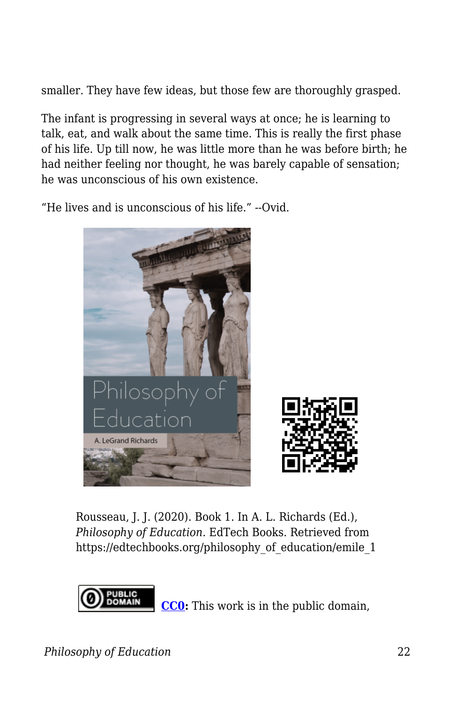smaller. They have few ideas, but those few are thoroughly grasped.

The infant is progressing in several ways at once; he is learning to talk, eat, and walk about the same time. This is really the first phase of his life. Up till now, he was little more than he was before birth; he had neither feeling nor thought, he was barely capable of sensation; he was unconscious of his own existence.

"He lives and is unconscious of his life." --Ovid.



Rousseau, J. J. (2020). Book 1. In A. L. Richards (Ed.), *Philosophy of Education*. EdTech Books. Retrieved from https://edtechbooks.org/philosophy\_of\_education/emile\_1



**[CC0:](https://wiki.creativecommons.org/wiki/Public_domain)** This work is in the public domain,